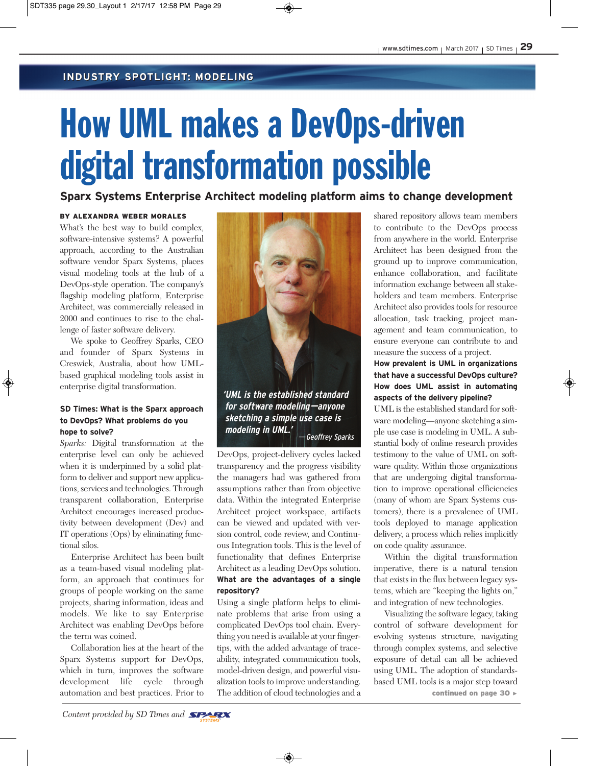### **INDUSTRY SPOTLIGHT: MODELING INDUSTRY SPOTLIGHT: MODELING**

# How UML makes a DevOps-driven digital transformation possible

**Sparx Systems Enterprise Architect modeling platform aims to change development**

### BY ALEXANDRA WEBER MORALES

What's the best way to build complex. software-intensive systems? A powerful approach, according to the Australian software vendor Sparx Systems, places visual modeling tools at the hub of a DevOps-style operation. The company's flagship modeling platform, Enterprise Architect, was commercially released in 2000 and continues to rise to the challenge of faster software delivery.

We spoke to Geoffrey Sparks, CEO and founder of Sparx Systems in Creswick, Australia, about how UMLbased graphical modeling tools assist in enterprise digital transformation.

### **SD Times: What is the Sparx approach to DevOps? What problems do you hope to solve?**

*Sparks:* Digital transformation at the enterprise level can only be achieved when it is underpinned by a solid platform to deliver and support new applications, services and technologies. Through transparent collaboration, Enterprise Architect encourages increased productivity between development (Dev) and IT operations (Ops) by eliminating functional silos.

Enterprise Architect has been built as a team-based visual modeling platform, an approach that continues for groups of people working on the same projects, sharing information, ideas and models. We like to say Enterprise Architect was enabling DevOps before the term was coined.

Collaboration lies at the heart of the Sparx Systems support for DevOps, which in turn, improves the software development life cycle through automation and best practices. Prior to



**'UML is the established standard for software modeling—anyone sketching a simple use case is modeling in UML.'** —Geoffrey Sparks

DevOps, project-delivery cycles lacked transparency and the progress visibility the managers had was gathered from assumptions rather than from objective data. Within the integrated Enterprise Architect project workspace, artifacts can be viewed and updated with version control, code review, and Continuous Integration tools. This is the level of functionality that defines Enterprise Architect as a leading DevOps solution. **What are the advantages of a single repository?**

Using a single platform helps to eliminate problems that arise from using a complicated DevOps tool chain. Everything you need is available at your fingertips, with the added advantage of traceability, integrated communication tools, model-driven design, and powerful visualization tools to improve understanding. The addition of cloud technologies and a

shared repository allows team members to contribute to the DevOps process from anywhere in the world. Enterprise Architect has been designed from the ground up to improve communication, enhance collaboration, and facilitate information exchange between all stakeholders and team members. Enterprise Architect also provides tools for resource allocation, task tracking, project management and team communication, to ensure everyone can contribute to and measure the success of a project.

### **How prevalent is UML in organizations that have a successful DevOps culture? How does UML assist in automating aspects of the delivery pipeline?**

UML is the established standard for software modeling—anyone sketching a simple use case is modeling in UML. A substantial body of online research provides testimony to the value of UML on software quality. Within those organizations that are undergoing digital transformation to improve operational efficiencies (many of whom are Sparx Systems customers), there is a prevalence of UML tools deployed to manage application delivery, a process which relies implicitly on code quality assurance.

Within the digital transformation imperative, there is a natural tension that exists in the flux between legacy systems, which are "keeping the lights on," and integration of new technologies.

Visualizing the software legacy, taking control of software development for evolving systems structure, navigating through complex systems, and selective exposure of detail can all be achieved using UML. The adoption of standardsbased UML tools is a major step toward continued on page 30 >